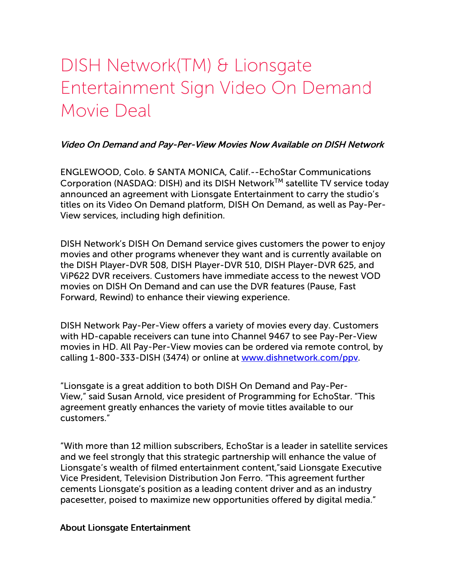# DISH Network(TM) & Lionsgate Entertainment Sign Video On Demand Movie Deal

### Video On Demand and Pay-Per-View Movies Now Available on DISH Network

ENGLEWOOD, Colo. & SANTA MONICA, Calif.--EchoStar Communications Corporation (NASDAQ: DISH) and its DISH Network™ satellite TV service today announced an agreement with Lionsgate Entertainment to carry the studio's titles on its Video On Demand platform, DISH On Demand, as well as Pay-Per-View services, including high definition.

DISH Network's DISH On Demand service gives customers the power to enjoy movies and other programs whenever they want and is currently available on the DISH Player-DVR 508, DISH Player-DVR 510, DISH Player-DVR 625, and ViP622 DVR receivers. Customers have immediate access to the newest VOD movies on DISH On Demand and can use the DVR features (Pause, Fast Forward, Rewind) to enhance their viewing experience.

DISH Network Pay-Per-View offers a variety of movies every day. Customers with HD-capable receivers can tune into Channel 9467 to see Pay-Per-View movies in HD. All Pay-Per-View movies can be ordered via remote control, by calling 1-800-333-DISH (3474) or online at [www.dishnetwork.com/ppv](http://www.dishnetwork.com/ppv).

"Lionsgate is a great addition to both DISH On Demand and Pay-Per-View," said Susan Arnold, vice president of Programming for EchoStar. "This agreement greatly enhances the variety of movie titles available to our customers."

"With more than 12 million subscribers, EchoStar is a leader in satellite services and we feel strongly that this strategic partnership will enhance the value of Lionsgate's wealth of filmed entertainment content,"said Lionsgate Executive Vice President, Television Distribution Jon Ferro. "This agreement further cements Lionsgate's position as a leading content driver and as an industry pacesetter, poised to maximize new opportunities offered by digital media."

#### About Lionsgate Entertainment